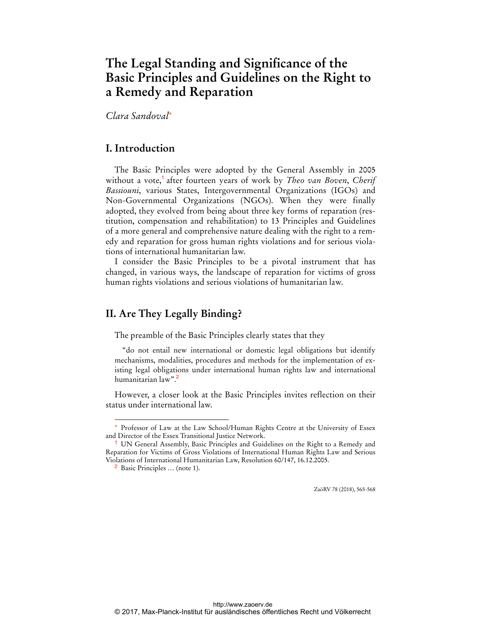# **The Legal Standing and Significance of the Basic Principles and Guidelines on the Right to a Remedy and Reparation**

*Clara Sandoval*\*

# **I. Introduction**

The Basic Principles were adopted by the General Assembly in 2005 without a vote,<sup>1</sup> after fourteen years of work by *Theo van Boven*, *Cherif Bassiouni*, various States, Intergovernmental Organizations (IGOs) and Non-Governmental Organizations (NGOs). When they were finally adopted, they evolved from being about three key forms of reparation (restitution, compensation and rehabilitation) to 13 Principles and Guidelines of a more general and comprehensive nature dealing with the right to a remedy and reparation for gross human rights violations and for serious violations of international humanitarian law.

I consider the Basic Principles to be a pivotal instrument that has changed, in various ways, the landscape of reparation for victims of gross human rights violations and serious violations of humanitarian law.

# **II. Are They Legally Binding?**

The preamble of the Basic Principles clearly states that they

"do not entail new international or domestic legal obligations but identify mechanisms, modalities, procedures and methods for the implementation of existing legal obligations under international human rights law and international humanitarian law".<sup>2</sup>

However, a closer look at the Basic Principles invites reflection on their status under international law.

 $\overline{a}$ 

ZaöRV 78 (2018), 565-568

<sup>\*</sup> Professor of Law at the Law School/Human Rights Centre at the University of Essex and Director of the Essex Transitional Justice Network.

<sup>&</sup>lt;sup>1</sup> UN General Assembly, Basic Principles and Guidelines on the Right to a Remedy and Reparation for Victims of Gross Violations of International Human Rights Law and Serious Violations of International Humanitarian Law, Resolution 60/147, 16.12.2005.

<sup>2</sup> Basic Principles … (note 1).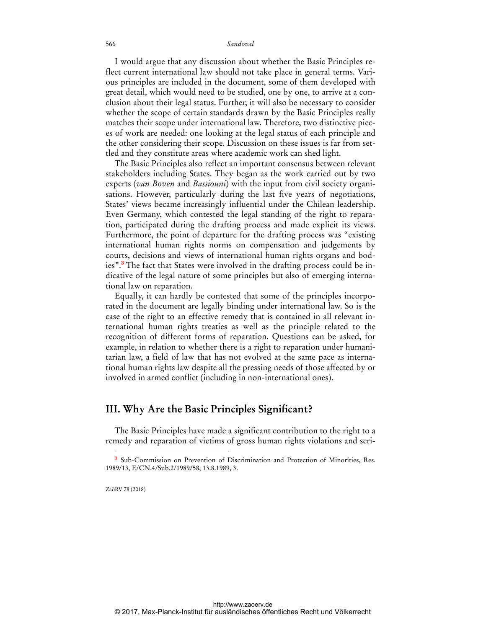#### 566 *Sandoval*

I would argue that any discussion about whether the Basic Principles reflect current international law should not take place in general terms. Various principles are included in the document, some of them developed with great detail, which would need to be studied, one by one, to arrive at a conclusion about their legal status. Further, it will also be necessary to consider whether the scope of certain standards drawn by the Basic Principles really matches their scope under international law. Therefore, two distinctive pieces of work are needed: one looking at the legal status of each principle and the other considering their scope. Discussion on these issues is far from settled and they constitute areas where academic work can shed light.

The Basic Principles also reflect an important consensus between relevant stakeholders including States. They began as the work carried out by two experts (*van Boven* and *Bassiouni*) with the input from civil society organisations. However, particularly during the last five years of negotiations, States' views became increasingly influential under the Chilean leadership. Even Germany, which contested the legal standing of the right to reparation, participated during the drafting process and made explicit its views. Furthermore, the point of departure for the drafting process was "existing international human rights norms on compensation and judgements by courts, decisions and views of international human rights organs and bodies".<sup>3</sup> The fact that States were involved in the drafting process could be indicative of the legal nature of some principles but also of emerging international law on reparation.

Equally, it can hardly be contested that some of the principles incorporated in the document are legally binding under international law. So is the case of the right to an effective remedy that is contained in all relevant international human rights treaties as well as the principle related to the recognition of different forms of reparation. Questions can be asked, for example, in relation to whether there is a right to reparation under humanitarian law, a field of law that has not evolved at the same pace as international human rights law despite all the pressing needs of those affected by or involved in armed conflict (including in non-international ones).

### **III. Why Are the Basic Principles Significant?**

The Basic Principles have made a significant contribution to the right to a remedy and reparation of victims of gross human rights violations and seri-

ZaöRV 78 (2018)

 $\ddot{ }$ 

<sup>3</sup> Sub-Commission on Prevention of Discrimination and Protection of Minorities, Res. 1989/13, E/CN.4/Sub.2/1989/58, 13.8.1989, 3.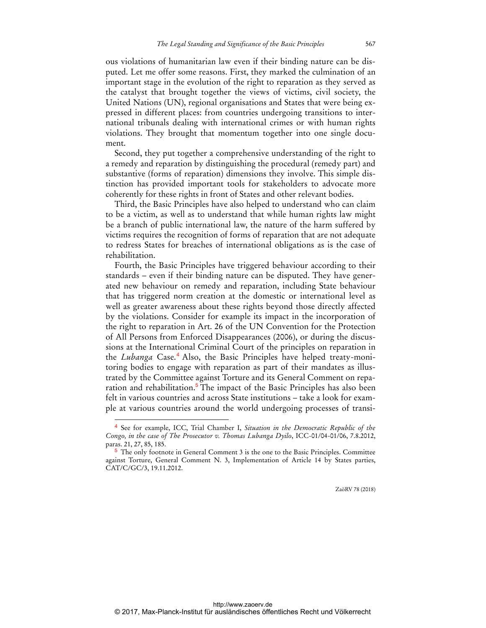ous violations of humanitarian law even if their binding nature can be disputed. Let me offer some reasons. First, they marked the culmination of an important stage in the evolution of the right to reparation as they served as the catalyst that brought together the views of victims, civil society, the United Nations (UN), regional organisations and States that were being expressed in different places: from countries undergoing transitions to international tribunals dealing with international crimes or with human rights violations. They brought that momentum together into one single document.

Second, they put together a comprehensive understanding of the right to a remedy and reparation by distinguishing the procedural (remedy part) and substantive (forms of reparation) dimensions they involve. This simple distinction has provided important tools for stakeholders to advocate more coherently for these rights in front of States and other relevant bodies.

Third, the Basic Principles have also helped to understand who can claim to be a victim, as well as to understand that while human rights law might be a branch of public international law, the nature of the harm suffered by victims requires the recognition of forms of reparation that are not adequate to redress States for breaches of international obligations as is the case of rehabilitation.

Fourth, the Basic Principles have triggered behaviour according to their standards – even if their binding nature can be disputed. They have generated new behaviour on remedy and reparation, including State behaviour that has triggered norm creation at the domestic or international level as well as greater awareness about these rights beyond those directly affected by the violations. Consider for example its impact in the incorporation of the right to reparation in Art. 26 of the UN Convention for the Protection of All Persons from Enforced Disappearances (2006), or during the discussions at the International Criminal Court of the principles on reparation in the *Lubanga* Case.<sup>4</sup> Also, the Basic Principles have helped treaty-monitoring bodies to engage with reparation as part of their mandates as illustrated by the Committee against Torture and its General Comment on reparation and rehabilitation.<sup>5</sup> The impact of the Basic Principles has also been felt in various countries and across State institutions – take a look for example at various countries around the world undergoing processes of transi-

 $\overline{a}$ 

ZaöRV 78 (2018)

<sup>4</sup> See for example, ICC, Trial Chamber I, *Situation in the Democratic Republic of the Congo, in the case of The Prosecutor v. Thomas Lubanga Dyilo*, ICC-01/04-01/06, 7.8.2012, paras. 21, 27, 85, 185.

<sup>5</sup> The only footnote in General Comment 3 is the one to the Basic Principles. Committee against Torture, General Comment N. 3, Implementation of Article 14 by States parties, CAT/C/GC/3, 19.11.2012.